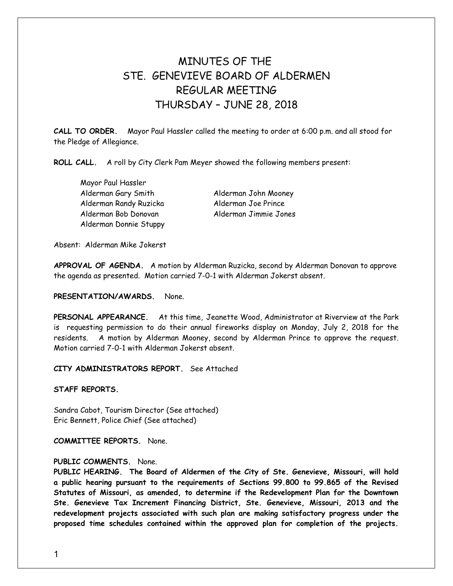# MINUTES OF THE STE GENEVIEVE BOARD OF ALDERMEN REGULAR MEETING THURSDAY – JUNE 28, 2018

**CALL TO ORDER.** Mayor Paul Hassler called the meeting to order at 6:00 p.m. and all stood for the Pledge of Allegiance.

**ROLL CALL.** A roll by City Clerk Pam Meyer showed the following members present:

Mayor Paul Hassler Alderman Gary Smith Alderman John Mooney Alderman Randy Ruzicka Alderman Joe Prince Alderman Bob Donovan Alderman Jimmie Jones Alderman Donnie Stuppy

Absent: Alderman Mike Jokerst

**APPROVAL OF AGENDA.** A motion by Alderman Ruzicka, second by Alderman Donovan to approve the agenda as presented. Motion carried 7-0-1 with Alderman Jokerst absent.

#### **PRESENTATION/AWARDS.** None.

**PERSONAL APPEARANCE.** At this time, Jeanette Wood, Administrator at Riverview at the Park is requesting permission to do their annual fireworks display on Monday, July 2, 2018 for the residents. A motion by Alderman Mooney, second by Alderman Prince to approve the request. Motion carried 7-0-1 with Alderman Jokerst absent.

**CITY ADMINISTRATORS REPORT.** See Attached

**STAFF REPORTS.** 

Sandra Cabot, Tourism Director (See attached) Eric Bennett, Police Chief (See attached)

**COMMITTEE REPORTS.** None.

### **PUBLIC COMMENTS.** None.

**PUBLIC HEARING. The Board of Aldermen of the City of Ste. Genevieve, Missouri, will hold a public hearing pursuant to the requirements of Sections 99.800 to 99.865 of the Revised Statutes of Missouri, as amended, to determine if the Redevelopment Plan for the Downtown Ste. Genevieve Tax Increment Financing District, Ste. Genevieve, Missouri, 2013 and the redevelopment projects associated with such plan are making satisfactory progress under the proposed time schedules contained within the approved plan for completion of the projects.**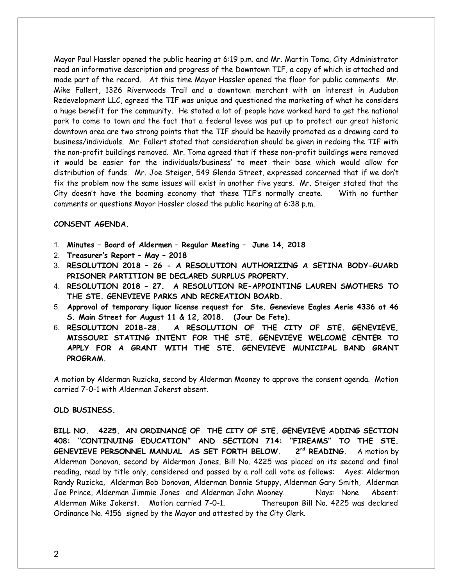Mayor Paul Hassler opened the public hearing at 6:19 p.m. and Mr. Martin Toma, City Administrator read an informative description and progress of the Downtown TIF, a copy of which is attached and made part of the record. At this time Mayor Hassler opened the floor for public comments. Mr. Mike Fallert, 1326 Riverwoods Trail and a downtown merchant with an interest in Audubon Redevelopment LLC, agreed the TIF was unique and questioned the marketing of what he considers a huge benefit for the community. He stated a lot of people have worked hard to get the national park to come to town and the fact that a federal levee was put up to protect our great historic downtown area are two strong points that the TIF should be heavily promoted as a drawing card to business/individuals. Mr. Fallert stated that consideration should be given in redoing the TIF with the non-profit buildings removed. Mr. Toma agreed that if these non-profit buildings were removed it would be easier for the individuals/business' to meet their base which would allow for distribution of funds. Mr. Joe Steiger, 549 Glenda Street, expressed concerned that if we don't fix the problem now the same issues will exist in another five years. Mr. Steiger stated that the City doesn't have the booming economy that these TIF's normally create. With no further comments or questions Mayor Hassler closed the public hearing at 6:38 p.m.

#### **CONSENT AGENDA.**

- 1. **Minutes Board of Aldermen Regular Meeting June 14, 2018**
- 2. **Treasurer's Report May 2018**
- 3. **RESOLUTION 2018 26 A RESOLUTION AUTHORIZING A SETINA BODY-GUARD PRISONER PARTITION BE DECLARED SURPLUS PROPERTY.**
- 4. **RESOLUTION 2018 27. A RESOLUTION RE-APPOINTING LAUREN SMOTHERS TO THE STE. GENEVIEVE PARKS AND RECREATION BOARD.**
- 5. **Approval of temporary liquor license request for Ste. Genevieve Eagles Aerie 4336 at 46 S. Main Street for August 11 & 12, 2018. (Jour De Fete).**
- 6. **RESOLUTION 2018-28. A RESOLUTION OF THE CITY OF STE. GENEVIEVE, MISSOURI STATING INTENT FOR THE STE. GENEVIEVE WELCOME CENTER TO APPLY FOR A GRANT WITH THE STE. GENEVIEVE MUNICIPAL BAND GRANT PROGRAM.**

A motion by Alderman Ruzicka, second by Alderman Mooney to approve the consent agenda. Motion carried 7-0-1 with Alderman Jokerst absent.

#### **OLD BUSINESS.**

**BILL NO. 4225. AN ORDINANCE OF THE CITY OF STE. GENEVIEVE ADDING SECTION 408: "CONTINUING EDUCATION" AND SECTION 714: "FIREAMS" TO THE STE. GENEVIEVE PERSONNEL MANUAL AS SET FORTH BELOW. 2nd READING.** A motion by Alderman Donovan, second by Alderman Jones, Bill No. 4225 was placed on its second and final reading, read by title only, considered and passed by a roll call vote as follows: Ayes: Alderman Randy Ruzicka, Alderman Bob Donovan, Alderman Donnie Stuppy, Alderman Gary Smith, Alderman Joe Prince, Alderman Jimmie Jones and Alderman John Mooney. Nays: None Absent: Alderman Mike Jokerst. Motion carried 7-0-1. Thereupon Bill No. 4225 was declared Ordinance No. 4156 signed by the Mayor and attested by the City Clerk.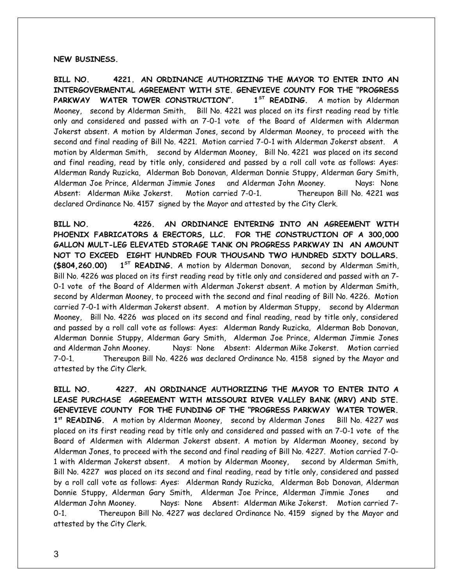#### **NEW BUSINESS.**

**BILL NO. 4221. AN ORDINANCE AUTHORIZING THE MAYOR TO ENTER INTO AN INTERGOVERMENTAL AGREEMENT WITH STE. GENEVIEVE COUNTY FOR THE "PROGRESS PARKWAY WATER TOWER CONSTRUCTION". 1ST READING.** A motion by Alderman Mooney, second by Alderman Smith, Bill No. 4221 was placed on its first reading read by title only and considered and passed with an 7-0-1 vote of the Board of Aldermen with Alderman Jokerst absent. A motion by Alderman Jones, second by Alderman Mooney, to proceed with the second and final reading of Bill No. 4221. Motion carried 7-0-1 with Alderman Jokerst absent. A motion by Alderman Smith, second by Alderman Mooney, Bill No. 4221 was placed on its second and final reading, read by title only, considered and passed by a roll call vote as follows: Ayes: Alderman Randy Ruzicka, Alderman Bob Donovan, Alderman Donnie Stuppy, Alderman Gary Smith, Alderman Joe Prince, Alderman Jimmie Jones and Alderman John Mooney. Nays: None Absent: Alderman Mike Jokerst. Motion carried 7-0-1. Thereupon Bill No. 4221 was declared Ordinance No. 4157 signed by the Mayor and attested by the City Clerk.

**BILL NO. 4226. AN ORDINANCE ENTERING INTO AN AGREEMENT WITH PHOENIX FABRICATORS & ERECTORS, LLC. FOR THE CONSTRUCTION OF A 300,000 GALLON MULT-LEG ELEVATED STORAGE TANK ON PROGRESS PARKWAY IN AN AMOUNT NOT TO EXCEED EIGHT HUNDRED FOUR THOUSAND TWO HUNDRED SIXTY DOLLARS. (\$804,260.00) 1ST READING.** A motion by Alderman Donovan, second by Alderman Smith, Bill No. 4226 was placed on its first reading read by title only and considered and passed with an 7- 0-1 vote of the Board of Aldermen with Alderman Jokerst absent. A motion by Alderman Smith, second by Alderman Mooney, to proceed with the second and final reading of Bill No. 4226. Motion carried 7-0-1 with Alderman Jokerst absent. A motion by Alderman Stuppy, second by Alderman Mooney, Bill No. 4226 was placed on its second and final reading, read by title only, considered and passed by a roll call vote as follows: Ayes: Alderman Randy Ruzicka, Alderman Bob Donovan, Alderman Donnie Stuppy, Alderman Gary Smith, Alderman Joe Prince, Alderman Jimmie Jones and Alderman John Mooney. Nays: None Absent: Alderman Mike Jokerst. Motion carried 7-0-1. Thereupon Bill No. 4226 was declared Ordinance No. 4158 signed by the Mayor and attested by the City Clerk.

**BILL NO. 4227. AN ORDINANCE AUTHORIZING THE MAYOR TO ENTER INTO A LEASE PURCHASE AGREEMENT WITH MISSOURI RIVER VALLEY BANK (MRV) AND STE. GENEVIEVE COUNTY FOR THE FUNDING OF THE "PROGRESS PARKWAY WATER TOWER.** 1<sup>st</sup> READING. A motion by Alderman Mooney, second by Alderman Jones Bill No. 4227 was placed on its first reading read by title only and considered and passed with an 7-0-1 vote of the Board of Aldermen with Alderman Jokerst absent. A motion by Alderman Mooney, second by Alderman Jones, to proceed with the second and final reading of Bill No. 4227. Motion carried 7-0- 1 with Alderman Jokerst absent. A motion by Alderman Mooney, second by Alderman Smith, Bill No. 4227 was placed on its second and final reading, read by title only, considered and passed by a roll call vote as follows: Ayes: Alderman Randy Ruzicka, Alderman Bob Donovan, Alderman Donnie Stuppy, Alderman Gary Smith, Alderman Joe Prince, Alderman Jimmie Jones and Alderman John Mooney. Nays: None Absent: Alderman Mike Jokerst. Motion carried 7- 0-1. Thereupon Bill No. 4227 was declared Ordinance No. 4159 signed by the Mayor and attested by the City Clerk.